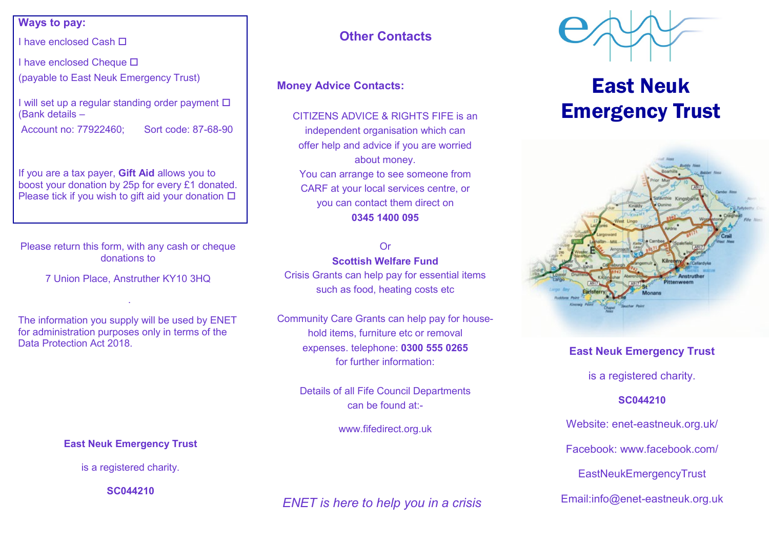#### **Ways to pay:**

I have enclosed Cash

I have enclosed Cheque □

(payable to East Neuk Emergency Trust)

I will set up a regular standing order payment  $\square$ (Bank details –

Account no: 77922460; Sort code: 87-68-90

If you are a tax payer, **Gift Aid** allows you to boost your donation by 25p for every £1 donated. Please tick if you wish to gift aid your donation  $\square$ 

Please return this form, with any cash or cheque donations to

7 Union Place, Anstruther KY10 3HQ

.

The information you supply will be used by ENET for administration purposes only in terms of the Data Protection Act 2018.

## **Other Contacts**

#### **Money Advice Contacts:**

CITIZENS ADVICE & RIGHTS FIFE is an independent organisation which can offer help and advice if you are worried about money. You can arrange to see someone from CARF at your local services centre, or you can contact them direct on **0345 1400 095**

#### Or

**Scottish Welfare Fund** 

Crisis Grants can help pay for essential items such as food, heating costs etc

Community Care Grants can help pay for household items, furniture etc or removal expenses. telephone: **0300 555 0265**  for further information:

> Details of all Fife Council Departments can be found at:-

> > www.fifedirect.org.uk



is a registered charity.

**SC044210** 

*ENET is here to help you in a crisis*



# East Neuk Emergency Trust



#### **East Neuk Emergency Trust**

is a registered charity.

#### **SC044210**

Website: enet-eastneuk.org.uk/ Facebook: www.facebook.com/ EastNeukEmergencyTrust Email:info@enet-eastneuk.org.uk